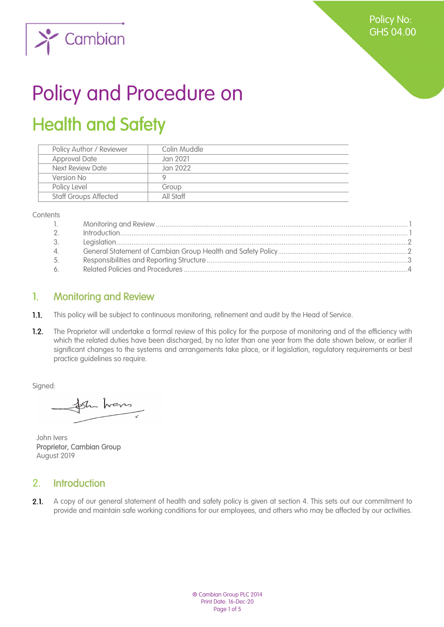Policy No: GHS 04.00



# Policy and Procedure on Health and Safety

| Policy Author / Reviewer     | Colin Muddle |
|------------------------------|--------------|
| <b>Approval Date</b>         | Jan 2021     |
| Next Review Date             | Jan 2022     |
| Version No                   |              |
| Policy Level                 | Group        |
| <b>Staff Groups Affected</b> | All Staff    |
|                              |              |

**Contents** 

| $\mathbb{R}$  |  |
|---------------|--|
| $\mathcal{P}$ |  |
| 3.            |  |
| 4.            |  |
| 5.            |  |
| 6.            |  |

## 1. Monitoring and Review

- $1.1.$ This policy will be subject to continuous monitoring, refinement and audit by the Head of Service.
- $1.2.$ The Proprietor will undertake a formal review of this policy for the purpose of monitoring and of the efficiency with which the related duties have been discharged, by no later than one year from the date shown below, or earlier if significant changes to the systems and arrangements take place, or if legislation, regulatory requirements or best practice guidelines so require.

Signed:

the hors

John Ivers Proprietor, Cambian Group August 2019

#### 2. Introduction

 $2.1.$ A copy of our general statement of health and safety policy is given at section 4. This sets out our commitment to provide and maintain safe working conditions for our employees, and others who may be affected by our activities.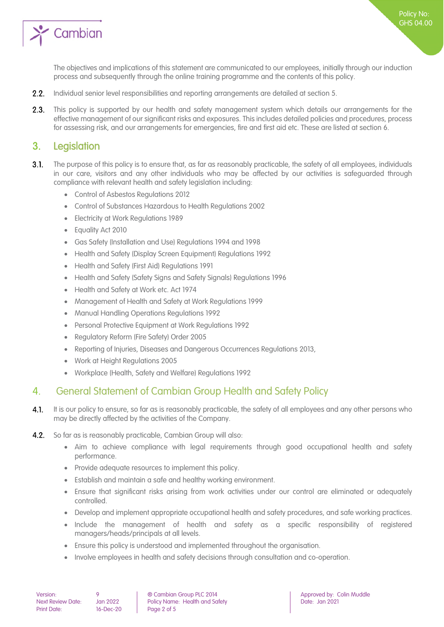

Policy No: GHS 04.00

- $2.2.$ Individual senior level responsibilities and reporting arrangements are detailed at section 5.
- $2.3.$ This policy is supported by our health and safety management system which details our arrangements for the effective management of our significant risks and exposures. This includes detailed policies and procedures, process for assessing risk, and our arrangements for emergencies, fire and first aid etc. These are listed at section 6.

#### 3. Legislation

- $3.1.$ The purpose of this policy is to ensure that, as far as reasonably practicable, the safety of all employees, individuals in our care, visitors and any other individuals who may be affected by our activities is safeguarded through compliance with relevant health and safety legislation including:
	- Control of Asbestos Regulations 2012
	- Control of Substances Hazardous to Health Regulations 2002
	- Electricity at Work Regulations 1989
	- Equality Act 2010
	- Gas Safety (Installation and Use) Regulations 1994 and 1998
	- Health and Safety (Display Screen Equipment) Regulations 1992
	- Health and Safety (First Aid) Regulations 1991
	- Health and Safety (Safety Signs and Safety Signals) Regulations 1996
	- Health and Safety at Work etc. Act 1974
	- Management of Health and Safety at Work Regulations 1999
	- Manual Handling Operations Regulations 1992
	- Personal Protective Equipment at Work Regulations 1992
	- Regulatory Reform (Fire Safety) Order 2005
	- Reporting of Injuries, Diseases and Dangerous Occurrences Regulations 2013,
	- Work at Height Regulations 2005
	- Workplace (Health, Safety and Welfare) Regulations 1992

#### 4. General Statement of Cambian Group Health and Safety Policy

- It is our policy to ensure, so far as is reasonably practicable, the safety of all employees and any other persons who  $4.1.$ may be directly affected by the activities of the Company.
- So far as is reasonably practicable, Cambian Group will also:  $4.2.$ 
	- Aim to achieve compliance with legal requirements through good occupational health and safety performance.
	- Provide adequate resources to implement this policy.
	- Establish and maintain a safe and healthy working environment.
	- Ensure that significant risks arising from work activities under our control are eliminated or adequately controlled.
	- Develop and implement appropriate occupational health and safety procedures, and safe working practices.
	- Include the management of health and safety as a specific responsibility of registered managers/heads/principals at all levels.
	- Ensure this policy is understood and implemented throughout the organisation.
	- Involve employees in health and safety decisions through consultation and co-operation.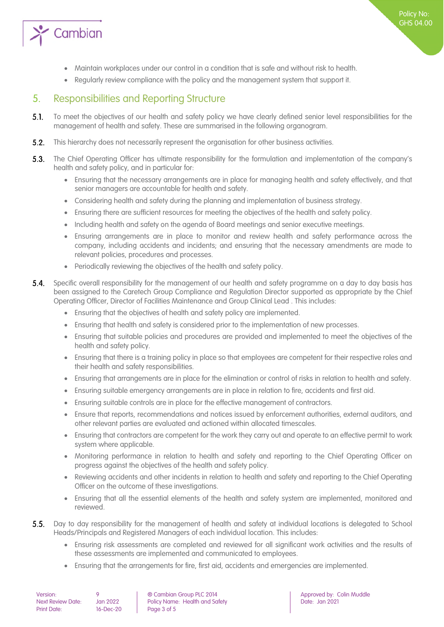

- Maintain workplaces under our control in a condition that is safe and without risk to health.
- Regularly review compliance with the policy and the management system that support it.

### 5. Responsibilities and Reporting Structure

- $5.1.$ To meet the objectives of our health and safety policy we have clearly defined senior level responsibilities for the management of health and safety. These are summarised in the following organogram.
- $5.2.$ This hierarchy does not necessarily represent the organisation for other business activities.
- $5.3.$ The Chief Operating Officer has ultimate responsibility for the formulation and implementation of the company's health and safety policy, and in particular for:
	- Ensuring that the necessary arrangements are in place for managing health and safety effectively, and that senior managers are accountable for health and safety.
	- Considering health and safety during the planning and implementation of business strategy.
	- Ensuring there are sufficient resources for meeting the objectives of the health and safety policy.
	- Including health and safety on the agenda of Board meetings and senior executive meetings.
	- Ensuring arrangements are in place to monitor and review health and safety performance across the company, including accidents and incidents; and ensuring that the necessary amendments are made to relevant policies, procedures and processes.
	- Periodically reviewing the objectives of the health and safety policy.
- $5.4.$ Specific overall responsibility for the management of our health and safety programme on a day to day basis has been assigned to the Caretech Group Compliance and Regulation Director supported as appropriate by the Chief Operating Officer, Director of Facilities Maintenance and Group Clinical Lead . This includes:
	- Ensuring that the objectives of health and safety policy are implemented.
	- Ensuring that health and safety is considered prior to the implementation of new processes.
	- Ensuring that suitable policies and procedures are provided and implemented to meet the objectives of the health and safety policy.
	- Ensuring that there is a training policy in place so that employees are competent for their respective roles and their health and safety responsibilities.
	- Ensuring that arrangements are in place for the elimination or control of risks in relation to health and safety.
	- Ensuring suitable emergency arrangements are in place in relation to fire, accidents and first aid.
	- Ensuring suitable controls are in place for the effective management of contractors.
	- Ensure that reports, recommendations and notices issued by enforcement authorities, external auditors, and other relevant parties are evaluated and actioned within allocated timescales.
	- Ensuring that contractors are competent for the work they carry out and operate to an effective permit to work system where applicable.
	- Monitoring performance in relation to health and safety and reporting to the Chief Operating Officer on progress against the objectives of the health and safety policy.
	- Reviewing accidents and other incidents in relation to health and safety and reporting to the Chief Operating Officer on the outcome of these investigations.
	- Ensuring that all the essential elements of the health and safety system are implemented, monitored and reviewed.
- $5.5.$ Day to day responsibility for the management of health and safety at individual locations is delegated to School Heads/Principals and Registered Managers of each individual location. This includes:
	- Ensuring risk assessments are completed and reviewed for all significant work activities and the results of these assessments are implemented and communicated to employees.
	- Ensuring that the arrangements for fire, first aid, accidents and emergencies are implemented.

| Version:           |  |
|--------------------|--|
| Next Review Date:  |  |
| <b>Print Date:</b> |  |

Policy Name: Health and Safety  $16$ -Dec-20 **Page 3 of 5**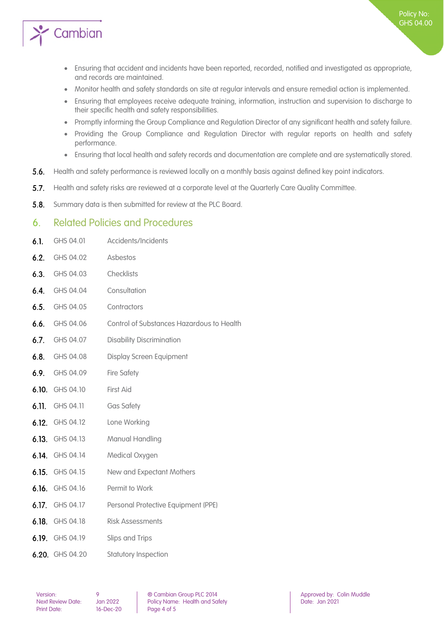

- Ensuring that accident and incidents have been reported, recorded, notified and investigated as appropriate, and records are maintained.
- Monitor health and safety standards on site at regular intervals and ensure remedial action is implemented.
- Ensuring that employees receive adequate training, information, instruction and supervision to discharge to their specific health and safety responsibilities.
- Promptly informing the Group Compliance and Regulation Director of any significant health and safety failure.
- Providing the Group Compliance and Regulation Director with regular reports on health and safety performance.
- Ensuring that local health and safety records and documentation are complete and are systematically stored.
- $5.6.$ Health and safety performance is reviewed locally on a monthly basis against defined key point indicators.
- $5.7.$ Health and safety risks are reviewed at a corporate level at the Quarterly Care Quality Committee.
- $5.8.$ Summary data is then submitted for review at the PLC Board.

#### 6. Related Policies and Procedures

| 6.1.  | GHS 04.01       | Accidents/Incidents                       |
|-------|-----------------|-------------------------------------------|
| 6.2.  | GHS 04.02       | Asbestos                                  |
| 6.3.  | GHS 04.03       | Checklists                                |
| 6.4.  | GHS 04.04       | Consultation                              |
| 6.5.  | GHS 04.05       | Contractors                               |
| 6.6.  | GHS 04.06       | Control of Substances Hazardous to Health |
| 6.7.  | GHS 04.07       | <b>Disability Discrimination</b>          |
| 6.8.  | GHS 04.08       | <b>Display Screen Equipment</b>           |
| 6.9.  | GHS 04.09       | <b>Fire Safety</b>                        |
| 6.10. | GHS 04.10       | First Aid                                 |
| 6.11. | GHS 04.11       | <b>Gas Safety</b>                         |
|       | 6.12. GHS 04.12 | Lone Working                              |
| 6.13. | GHS 04.13       | Manual Handling                           |
|       | 6.14. GHS 04.14 | Medical Oxygen                            |
| 6.15. | GHS 04.15       | New and Expectant Mothers                 |
| 6.16. | GHS 04.16       | Permit to Work                            |
|       | 6.17. GHS 04.17 | Personal Protective Equipment (PPE)       |
|       | 6.18. GHS 04.18 | <b>Risk Assessments</b>                   |
|       | 6.19. GHS 04.19 | Slips and Trips                           |
|       | 6.20. GHS 04.20 | Statutory Inspection                      |